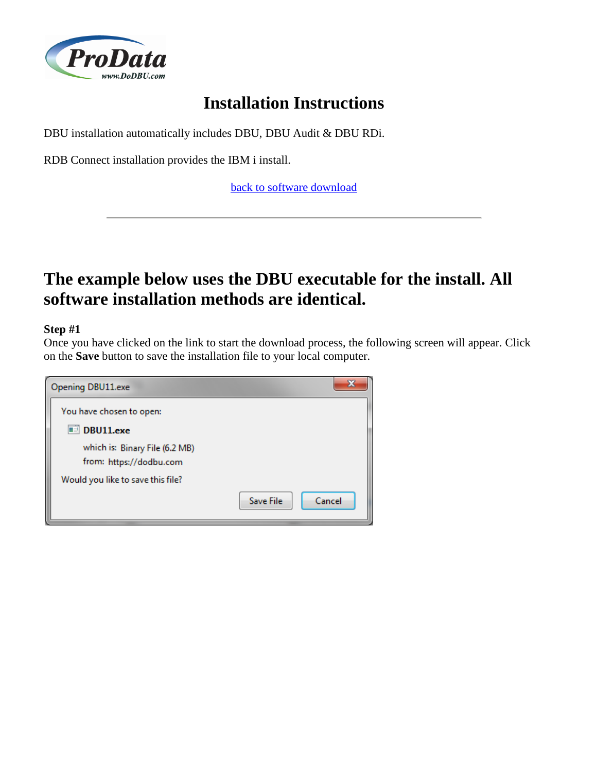

# **Installation Instructions**

DBU installation automatically includes DBU, DBU Audit & DBU RDi.

RDB Connect installation provides the IBM i install.

[back to software download](http://www.dodbu.com/downloadThanks.shtml)

# **The example below uses the DBU executable for the install. All software installation methods are identical.**

## **Step #1**

Once you have clicked on the link to start the download process, the following screen will appear. Click on the **Save** button to save the installation file to your local computer.

| Opening DBU11.exe                                         | x                   |
|-----------------------------------------------------------|---------------------|
| You have chosen to open:                                  |                     |
| DBU11.exe                                                 |                     |
| which is: Binary File (6.2 MB)<br>from: https://dodbu.com |                     |
| Would you like to save this file?                         |                     |
|                                                           | Cancel<br>Save File |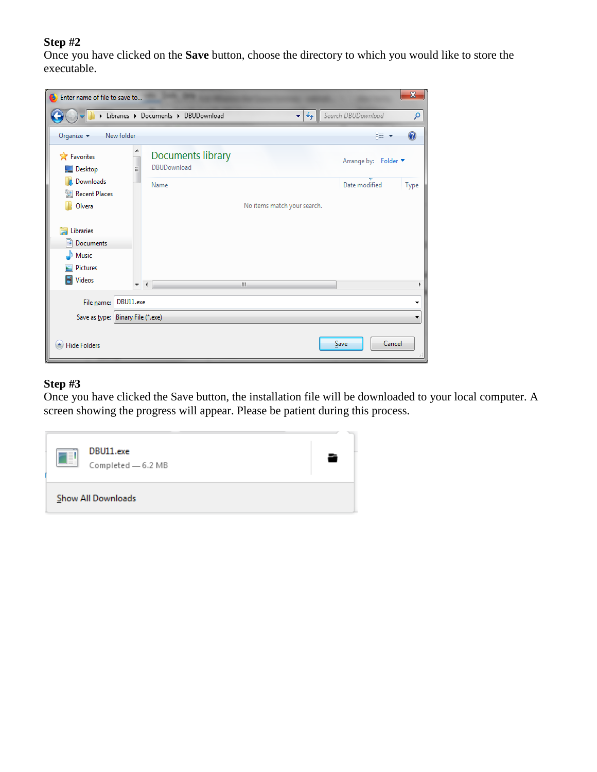Once you have clicked on the **Save** button, choose the directory to which you would like to store the executable.

| Enter name of file to save to                |                     |                                         |                             |                      | $\mathbf{x}$ |
|----------------------------------------------|---------------------|-----------------------------------------|-----------------------------|----------------------|--------------|
|                                              |                     | Libraries > Documents > DBUDownload     | $+$<br>$\bullet$            | Search DBUDownload   | ۹            |
| Organize $\blacktriangledown$                | New folder          |                                         |                             | 胆▼                   |              |
| <b>X</b> Favorites<br>$\blacksquare$ Desktop | Ξ                   | Documents library<br><b>DBUDownload</b> |                             | Arrange by: Folder ▼ |              |
| Downloads                                    |                     | Name                                    |                             | Date modified        | Type         |
| Recent Places<br>Olvera                      |                     |                                         | No items match your search. |                      |              |
| Libraries                                    |                     |                                         |                             |                      |              |
| Documents                                    |                     |                                         |                             |                      |              |
| Music<br>Pictures                            |                     |                                         |                             |                      |              |
| Videos                                       | $\overline{\nabla}$ | $\overline{4}$                          | III.                        |                      |              |
| File name:                                   | DBU11.exe           |                                         |                             |                      | ▼            |
| Save as type: Binary File (*.exe)            |                     |                                         |                             |                      | ▼            |
| $\triangle$ Hide Folders                     |                     |                                         |                             | Cancel<br>Save       |              |

### **Step #3**

Once you have clicked the Save button, the installation file will be downloaded to your local computer. A screen showing the progress will appear. Please be patient during this process.

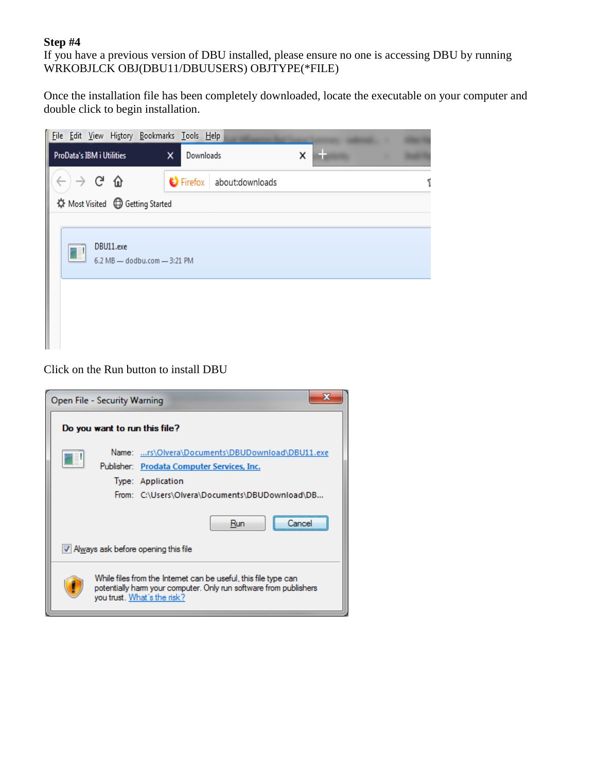If you have a previous version of DBU installed, please ensure no one is accessing DBU by running WRKOBJLCK OBJ(DBU11/DBUUSERS) OBJTYPE(\*FILE)

Once the installation file has been completely downloaded, locate the executable on your computer and double click to begin installation.

|                                  |                               |           | File Edit View History Bookmarks Tools Help |   |           |                          |   |  |  |
|----------------------------------|-------------------------------|-----------|---------------------------------------------|---|-----------|--------------------------|---|--|--|
| <b>ProData's IBM i Utilities</b> |                               |           |                                             | × | Downloads |                          | × |  |  |
|                                  | $\rightarrow$ C $_{\rm \Phi}$ |           |                                             |   |           | Firefox about: downloads |   |  |  |
|                                  |                               |           | ☆ Most Visited <b>D</b> Getting Started     |   |           |                          |   |  |  |
| ◨                                |                               | DBU11.exe | 6.2 MB - dodbu.com - 3:21 PM                |   |           |                          |   |  |  |

Click on the Run button to install DBU

| Open File - Security Warning                                                                                                                                                                                 |
|--------------------------------------------------------------------------------------------------------------------------------------------------------------------------------------------------------------|
| Do you want to run this file?                                                                                                                                                                                |
| Name: rs\Olvera\Documents\DBUDownload\DBU11.exe<br>Publisher: Prodata Computer Services, Inc.<br>Type: Application<br>From: C:\Users\Olvera\Documents\DBUDownload\DB<br>Run                                  |
| M Always ask before opening this file<br>While files from the Internet can be useful, this file type can<br>potentially harm your computer. Only run software from publishers<br>you trust. What's the risk? |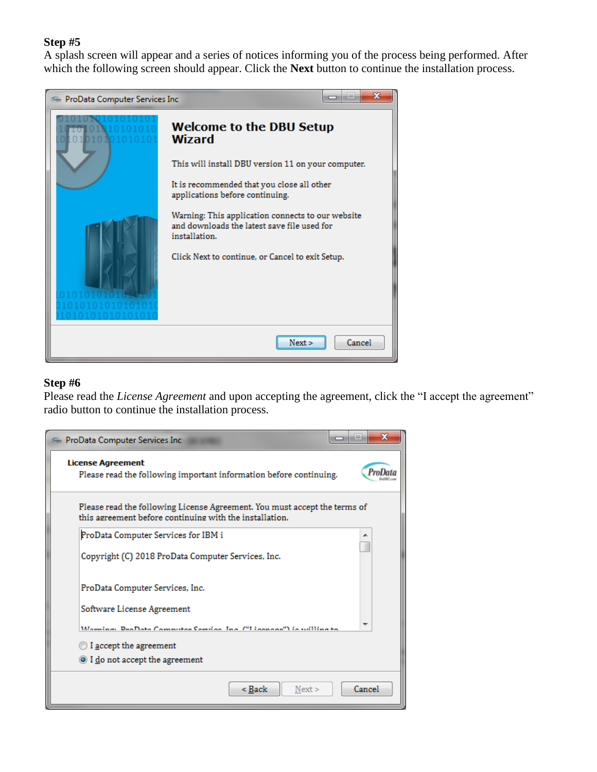A splash screen will appear and a series of notices informing you of the process being performed. After which the following screen should appear. Click the **Next** button to continue the installation process.



### **Step #6**

Please read the *License Agreement* and upon accepting the agreement, click the "I accept the agreement" radio button to continue the installation process.

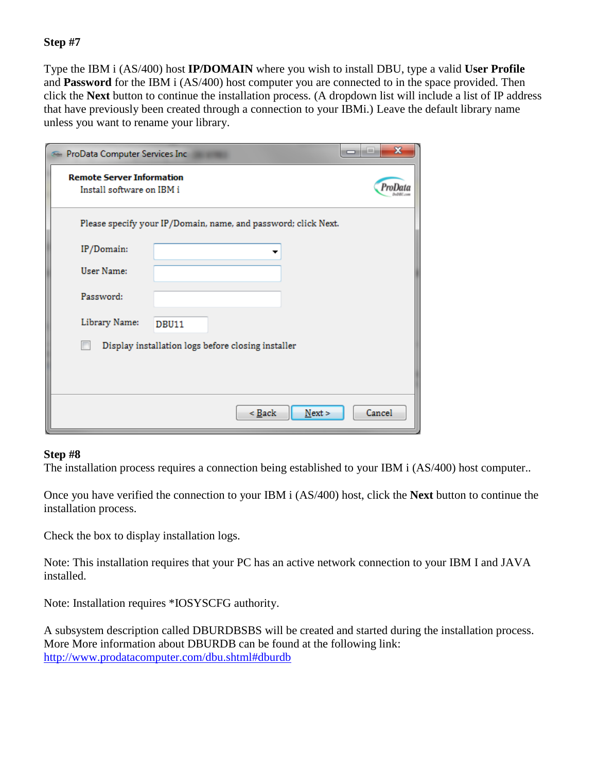Type the IBM i (AS/400) host **IP/DOMAIN** where you wish to install DBU, type a valid **User Profile** and **Password** for the IBM i (AS/400) host computer you are connected to in the space provided. Then click the **Next** button to continue the installation process. (A dropdown list will include a list of IP address that have previously been created through a connection to your IBMi.) Leave the default library name unless you want to rename your library.

| ProData Computer Services Inc.                                |              |                                                                |      | $\mathbf x$ |
|---------------------------------------------------------------|--------------|----------------------------------------------------------------|------|-------------|
| <b>Remote Server Information</b><br>Install software on IBM i |              |                                                                |      |             |
|                                                               |              | Please specify your IP/Domain, name, and password; click Next. |      |             |
| IP/Domain:                                                    |              |                                                                |      |             |
| User Name:                                                    |              |                                                                |      |             |
| Password:                                                     |              |                                                                |      |             |
| Library Name:                                                 | <b>DBU11</b> |                                                                |      |             |
|                                                               |              | Display installation logs before closing installer             |      |             |
|                                                               |              |                                                                |      |             |
|                                                               |              |                                                                |      |             |
|                                                               |              | $\leq$ Back                                                    | Next | Cancel      |

#### **Step #8**

The installation process requires a connection being established to your IBM i (AS/400) host computer..

Once you have verified the connection to your IBM i (AS/400) host, click the **Next** button to continue the installation process.

Check the box to display installation logs.

Note: This installation requires that your PC has an active network connection to your IBM I and JAVA installed.

Note: Installation requires \*IOSYSCFG authority.

A subsystem description called DBURDBSBS will be created and started during the installation process. More More information about DBURDB can be found at the following link: <http://www.prodatacomputer.com/dbu.shtml#dburdb>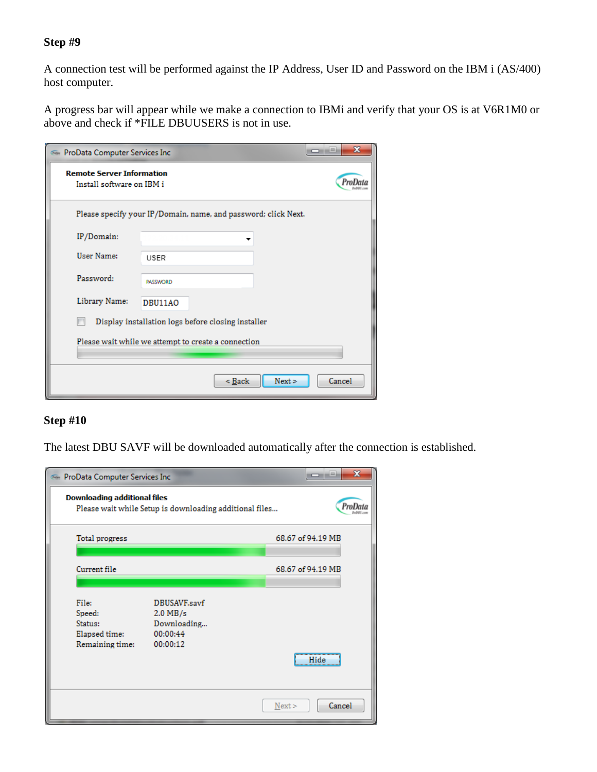A connection test will be performed against the IP Address, User ID and Password on the IBM i (AS/400) host computer.

A progress bar will appear while we make a connection to IBMi and verify that your OS is at V6R1M0 or above and check if \*FILE DBUUSERS is not in use.

|                                                               | $\mathbf x$<br>--<br><b>En ProData Computer Services Inc.</b> |                                                                |      |        |  |  |  |
|---------------------------------------------------------------|---------------------------------------------------------------|----------------------------------------------------------------|------|--------|--|--|--|
| <b>Remote Server Information</b><br>Install software on IBM i |                                                               |                                                                |      |        |  |  |  |
|                                                               |                                                               | Please specify your IP/Domain, name, and password; click Next. |      |        |  |  |  |
| IP/Domain:                                                    |                                                               |                                                                |      |        |  |  |  |
| User Name:                                                    | <b>USER</b>                                                   |                                                                |      |        |  |  |  |
| Password:                                                     | <b>PASSWORD</b>                                               |                                                                |      |        |  |  |  |
| Library Name:                                                 | DBU11AO                                                       |                                                                |      |        |  |  |  |
|                                                               | Display installation logs before closing installer            |                                                                |      |        |  |  |  |
| Please wait while we attempt to create a connection           |                                                               |                                                                |      |        |  |  |  |
|                                                               |                                                               | $<$ Back                                                       | Next | Cancel |  |  |  |

# **Step #10**

The latest DBU SAVF will be downloaded automatically after the connection is established.

| ProData Computer Services Inc                                  |                                                                   | $\mathbf{x}$<br>ادا<br>- |
|----------------------------------------------------------------|-------------------------------------------------------------------|--------------------------|
| <b>Downloading additional files</b>                            | Please wait while Setup is downloading additional files           |                          |
| Total progress                                                 |                                                                   | 68.67 of 94.19 MB        |
| Current file                                                   |                                                                   | 68.67 of 94.19 MB        |
| File:<br>Speed:<br>Status:<br>Elapsed time:<br>Remaining time: | DBUSAVF.savf<br>$2.0$ MB/s<br>Downloading<br>00:00:44<br>00:00:12 | Hide                     |
|                                                                |                                                                   | Cancel<br>Next           |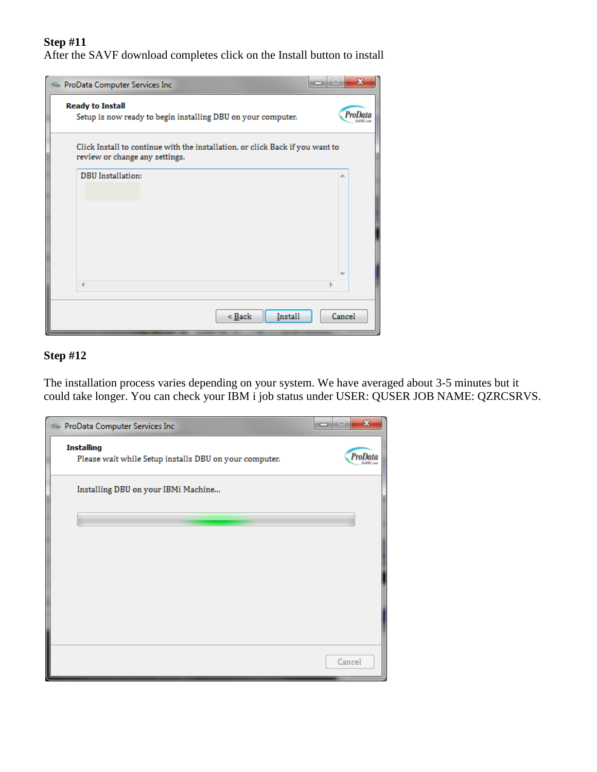After the SAVF download completes click on the Install button to install



# **Step #12**

The installation process varies depending on your system. We have averaged about 3-5 minutes but it could take longer. You can check your IBM i job status under USER: QUSER JOB NAME: QZRCSRVS.

| ProData Computer Services Inc                                               | $\mathbf{x}$<br>--<br>∍ |
|-----------------------------------------------------------------------------|-------------------------|
| <b>Installing</b><br>Please wait while Setup installs DBU on your computer. | ProDa                   |
| Installing DBU on your IBMi Machine                                         |                         |
|                                                                             |                         |
|                                                                             |                         |
|                                                                             |                         |
|                                                                             |                         |
|                                                                             | Cancel                  |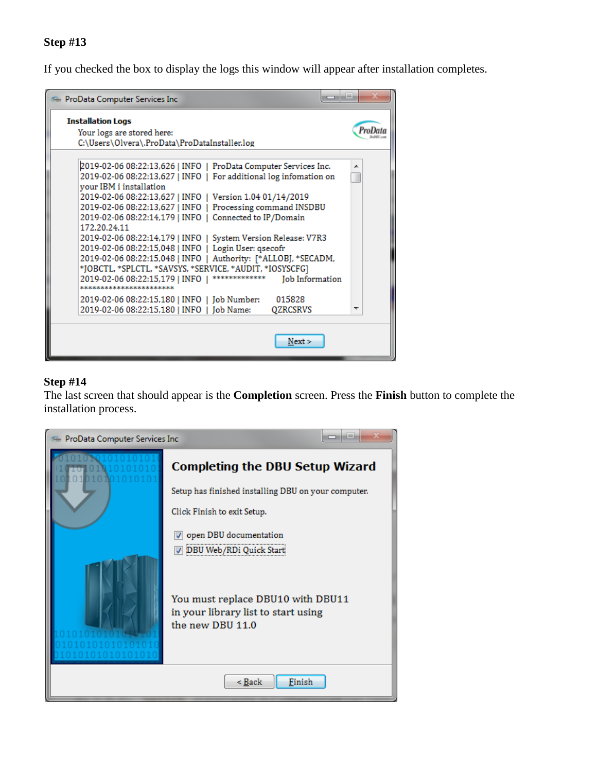If you checked the box to display the logs this window will appear after installation completes.



# **Step #14**

The last screen that should appear is the **Completion** screen. Press the **Finish** button to complete the installation process.